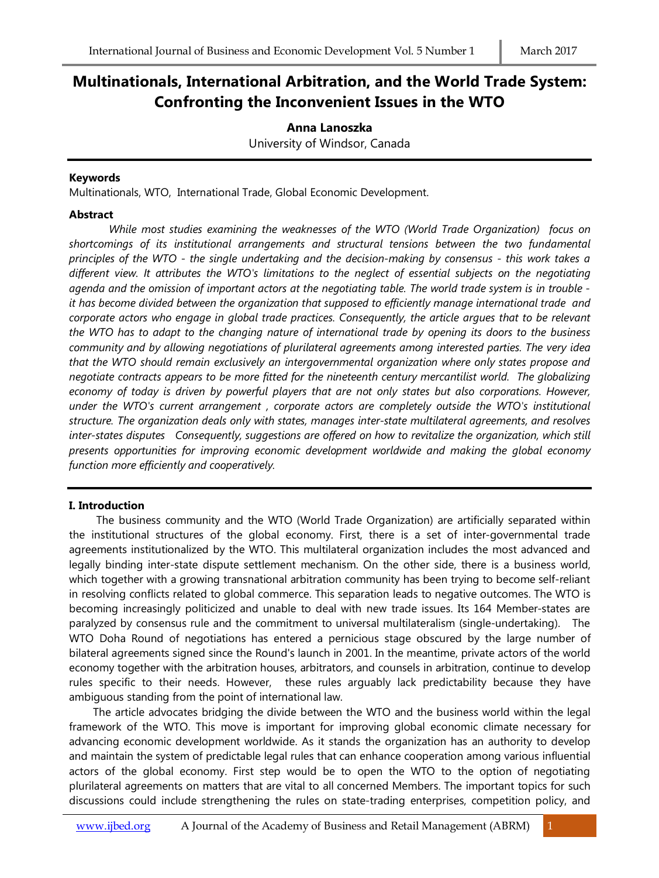# **Multinationals, International Arbitration, and the World Trade System: Confronting the Inconvenient Issues in the WTO**

## **Anna Lanoszka**

University of Windsor, Canada

## **Keywords**

Multinationals, WTO, International Trade, Global Economic Development.

### **Abstract**

*While most studies examining the weaknesses of the WTO (World Trade Organization) focus on shortcomings of its institutional arrangements and structural tensions between the two fundamental principles of the WTO - the single undertaking and the decision-making by consensus - this work takes a different view. It attributes the WTO's limitations to the neglect of essential subjects on the negotiating agenda and the omission of important actors at the negotiating table. The world trade system is in trouble it has become divided between the organization that supposed to efficiently manage international trade and corporate actors who engage in global trade practices. Consequently, the article argues that to be relevant the WTO has to adapt to the changing nature of international trade by opening its doors to the business community and by allowing negotiations of plurilateral agreements among interested parties. The very idea that the WTO should remain exclusively an intergovernmental organization where only states propose and negotiate contracts appears to be more fitted for the nineteenth century mercantilist world. The globalizing economy of today is driven by powerful players that are not only states but also corporations. However, under the WTO's current arrangement , corporate actors are completely outside the WTO's institutional structure. The organization deals only with states, manages inter-state multilateral agreements, and resolves inter-states disputes Consequently, suggestions are offered on how to revitalize the organization, which still presents opportunities for improving economic development worldwide and making the global economy function more efficiently and cooperatively.*

## **I. Introduction**

The business community and the WTO (World Trade Organization) are artificially separated within the institutional structures of the global economy. First, there is a set of inter-governmental trade agreements institutionalized by the WTO. This multilateral organization includes the most advanced and legally binding inter-state dispute settlement mechanism. On the other side, there is a business world, which together with a growing transnational arbitration community has been trying to become self-reliant in resolving conflicts related to global commerce. This separation leads to negative outcomes. The WTO is becoming increasingly politicized and unable to deal with new trade issues. Its 164 Member-states are paralyzed by consensus rule and the commitment to universal multilateralism (single-undertaking). The WTO Doha Round of negotiations has entered a pernicious stage obscured by the large number of bilateral agreements signed since the Round's launch in 2001. In the meantime, private actors of the world economy together with the arbitration houses, arbitrators, and counsels in arbitration, continue to develop rules specific to their needs. However, these rules arguably lack predictability because they have ambiguous standing from the point of international law.

 The article advocates bridging the divide between the WTO and the business world within the legal framework of the WTO. This move is important for improving global economic climate necessary for advancing economic development worldwide. As it stands the organization has an authority to develop and maintain the system of predictable legal rules that can enhance cooperation among various influential actors of the global economy. First step would be to open the WTO to the option of negotiating plurilateral agreements on matters that are vital to all concerned Members. The important topics for such discussions could include strengthening the rules on state-trading enterprises, competition policy, and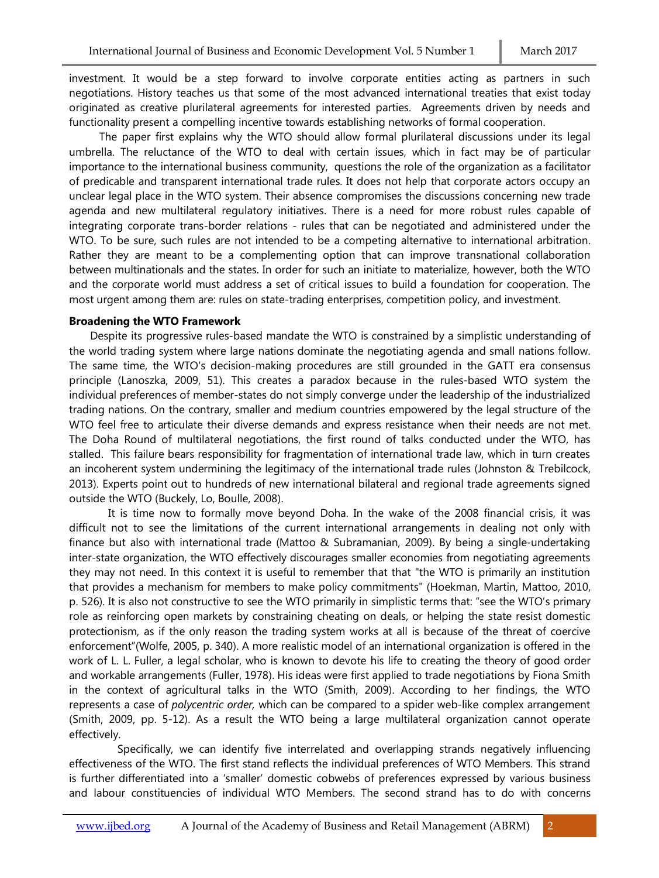investment. It would be a step forward to involve corporate entities acting as partners in such negotiations. History teaches us that some of the most advanced international treaties that exist today originated as creative plurilateral agreements for interested parties. Agreements driven by needs and functionality present a compelling incentive towards establishing networks of formal cooperation.

 The paper first explains why the WTO should allow formal plurilateral discussions under its legal umbrella. The reluctance of the WTO to deal with certain issues, which in fact may be of particular importance to the international business community, questions the role of the organization as a facilitator of predicable and transparent international trade rules. It does not help that corporate actors occupy an unclear legal place in the WTO system. Their absence compromises the discussions concerning new trade agenda and new multilateral regulatory initiatives. There is a need for more robust rules capable of integrating corporate trans-border relations - rules that can be negotiated and administered under the WTO. To be sure, such rules are not intended to be a competing alternative to international arbitration. Rather they are meant to be a complementing option that can improve transnational collaboration between multinationals and the states. In order for such an initiate to materialize, however, both the WTO and the corporate world must address a set of critical issues to build a foundation for cooperation. The most urgent among them are: rules on state-trading enterprises, competition policy, and investment.

#### **Broadening the WTO Framework**

 Despite its progressive rules-based mandate the WTO is constrained by a simplistic understanding of the world trading system where large nations dominate the negotiating agenda and small nations follow. The same time, the WTO's decision-making procedures are still grounded in the GATT era consensus principle (Lanoszka, 2009, 51). This creates a paradox because in the rules-based WTO system the individual preferences of member-states do not simply converge under the leadership of the industrialized trading nations. On the contrary, smaller and medium countries empowered by the legal structure of the WTO feel free to articulate their diverse demands and express resistance when their needs are not met. The Doha Round of multilateral negotiations, the first round of talks conducted under the WTO, has stalled. This failure bears responsibility for fragmentation of international trade law, which in turn creates an incoherent system undermining the legitimacy of the international trade rules (Johnston & Trebilcock, 2013). Experts point out to hundreds of new international bilateral and regional trade agreements signed outside the WTO (Buckely, Lo, Boulle, 2008).

 It is time now to formally move beyond Doha. In the wake of the 2008 financial crisis, it was difficult not to see the limitations of the current international arrangements in dealing not only with finance but also with international trade (Mattoo & Subramanian, 2009). By being a single-undertaking inter-state organization, the WTO effectively discourages smaller economies from negotiating agreements they may not need. In this context it is useful to remember that that "the WTO is primarily an institution that provides a mechanism for members to make policy commitments" (Hoekman, Martin, Mattoo, 2010, p. 526). It is also not constructive to see the WTO primarily in simplistic terms that: "see the WTO's primary role as reinforcing open markets by constraining cheating on deals, or helping the state resist domestic protectionism, as if the only reason the trading system works at all is because of the threat of coercive enforcement"(Wolfe, 2005, p. 340). A more realistic model of an international organization is offered in the work of L. L. Fuller, a legal scholar, who is known to devote his life to creating the theory of good order and workable arrangements (Fuller, 1978). His ideas were first applied to trade negotiations by Fiona Smith in the context of agricultural talks in the WTO (Smith, 2009). According to her findings, the WTO represents a case of *polycentric order,* which can be compared to a spider web-like complex arrangement (Smith, 2009, pp. 5-12). As a result the WTO being a large multilateral organization cannot operate effectively.

 Specifically, we can identify five interrelated and overlapping strands negatively influencing effectiveness of the WTO. The first stand reflects the individual preferences of WTO Members. This strand is further differentiated into a 'smaller' domestic cobwebs of preferences expressed by various business and labour constituencies of individual WTO Members. The second strand has to do with concerns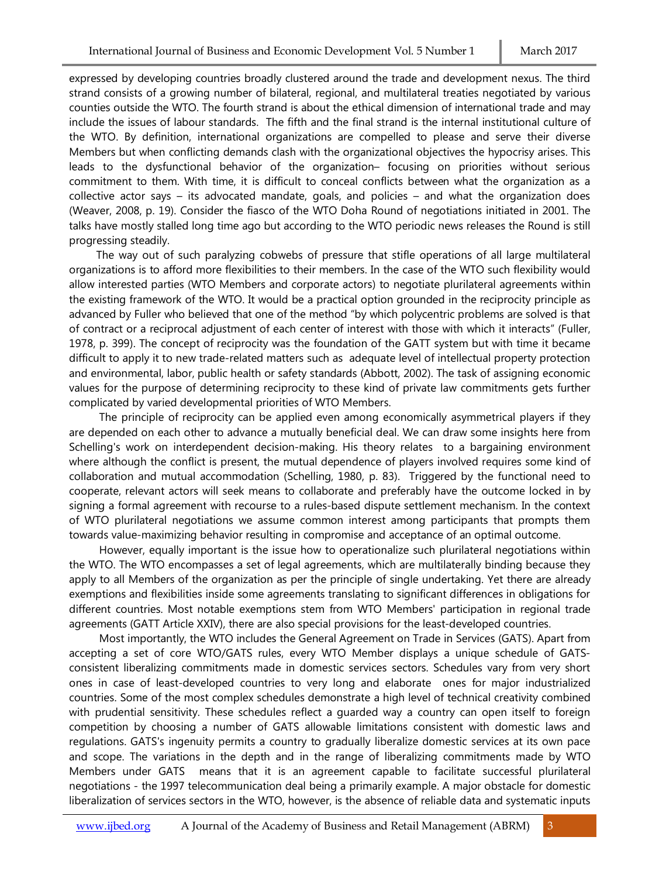expressed by developing countries broadly clustered around the trade and development nexus. The third strand consists of a growing number of bilateral, regional, and multilateral treaties negotiated by various counties outside the WTO. The fourth strand is about the ethical dimension of international trade and may include the issues of labour standards. The fifth and the final strand is the internal institutional culture of the WTO. By definition, international organizations are compelled to please and serve their diverse Members but when conflicting demands clash with the organizational objectives the hypocrisy arises. This leads to the dysfunctional behavior of the organization– focusing on priorities without serious commitment to them. With time, it is difficult to conceal conflicts between what the organization as a collective actor says – its advocated mandate, goals, and policies – and what the organization does (Weaver, 2008, p. 19). Consider the fiasco of the WTO Doha Round of negotiations initiated in 2001. The talks have mostly stalled long time ago but according to the WTO periodic news releases the Round is still progressing steadily.

 The way out of such paralyzing cobwebs of pressure that stifle operations of all large multilateral organizations is to afford more flexibilities to their members. In the case of the WTO such flexibility would allow interested parties (WTO Members and corporate actors) to negotiate plurilateral agreements within the existing framework of the WTO. It would be a practical option grounded in the reciprocity principle as advanced by Fuller who believed that one of the method "by which polycentric problems are solved is that of contract or a reciprocal adjustment of each center of interest with those with which it interacts" (Fuller, 1978, p. 399). The concept of reciprocity was the foundation of the GATT system but with time it became difficult to apply it to new trade-related matters such as adequate level of intellectual property protection and environmental, labor, public health or safety standards (Abbott, 2002). The task of assigning economic values for the purpose of determining reciprocity to these kind of private law commitments gets further complicated by varied developmental priorities of WTO Members.

 The principle of reciprocity can be applied even among economically asymmetrical players if they are depended on each other to advance a mutually beneficial deal. We can draw some insights here from Schelling's work on interdependent decision-making. His theory relates to a bargaining environment where although the conflict is present, the mutual dependence of players involved requires some kind of collaboration and mutual accommodation (Schelling, 1980, p. 83). Triggered by the functional need to cooperate, relevant actors will seek means to collaborate and preferably have the outcome locked in by signing a formal agreement with recourse to a rules-based dispute settlement mechanism. In the context of WTO plurilateral negotiations we assume common interest among participants that prompts them towards value-maximizing behavior resulting in compromise and acceptance of an optimal outcome.

 However, equally important is the issue how to operationalize such plurilateral negotiations within the WTO. The WTO encompasses a set of legal agreements, which are multilaterally binding because they apply to all Members of the organization as per the principle of single undertaking. Yet there are already exemptions and flexibilities inside some agreements translating to significant differences in obligations for different countries. Most notable exemptions stem from WTO Members' participation in regional trade agreements (GATT Article XXIV), there are also special provisions for the least-developed countries.

 Most importantly, the WTO includes the General Agreement on Trade in Services (GATS). Apart from accepting a set of core WTO/GATS rules, every WTO Member displays a unique schedule of GATSconsistent liberalizing commitments made in domestic services sectors. Schedules vary from very short ones in case of least-developed countries to very long and elaborate ones for major industrialized countries. Some of the most complex schedules demonstrate a high level of technical creativity combined with prudential sensitivity. These schedules reflect a guarded way a country can open itself to foreign competition by choosing a number of GATS allowable limitations consistent with domestic laws and regulations. GATS's ingenuity permits a country to gradually liberalize domestic services at its own pace and scope. The variations in the depth and in the range of liberalizing commitments made by WTO Members under GATS means that it is an agreement capable to facilitate successful plurilateral negotiations - the 1997 telecommunication deal being a primarily example. A major obstacle for domestic liberalization of services sectors in the WTO, however, is the absence of reliable data and systematic inputs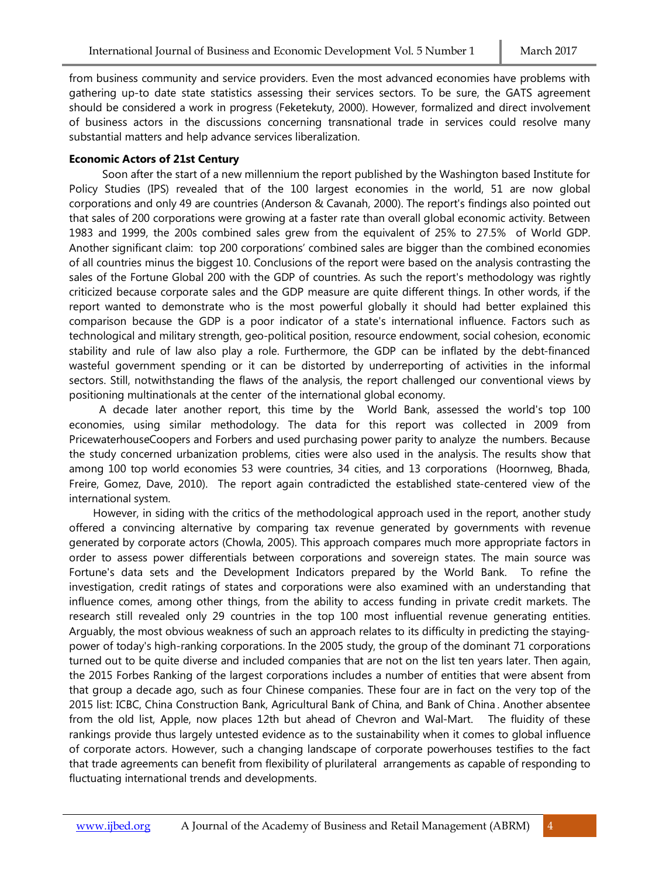from business community and service providers. Even the most advanced economies have problems with gathering up-to date state statistics assessing their services sectors. To be sure, the GATS agreement should be considered a work in progress (Feketekuty, 2000). However, formalized and direct involvement of business actors in the discussions concerning transnational trade in services could resolve many substantial matters and help advance services liberalization.

### **Economic Actors of 21st Century**

 Soon after the start of a new millennium the report published by the Washington based Institute for Policy Studies (IPS) revealed that of the 100 largest economies in the world, 51 are now global corporations and only 49 are countries (Anderson & Cavanah, 2000). The report's findings also pointed out that sales of 200 corporations were growing at a faster rate than overall global economic activity. Between 1983 and 1999, the 200s combined sales grew from the equivalent of 25% to 27.5% of World GDP. Another significant claim: top 200 corporations' combined sales are bigger than the combined economies of all countries minus the biggest 10. Conclusions of the report were based on the analysis contrasting the sales of the Fortune Global 200 with the GDP of countries. As such the report's methodology was rightly criticized because corporate sales and the GDP measure are quite different things. In other words, if the report wanted to demonstrate who is the most powerful globally it should had better explained this comparison because the GDP is a poor indicator of a state's international influence. Factors such as technological and military strength, geo-political position, resource endowment, social cohesion, economic stability and rule of law also play a role. Furthermore, the GDP can be inflated by the debt-financed wasteful government spending or it can be distorted by underreporting of activities in the informal sectors. Still, notwithstanding the flaws of the analysis, the report challenged our conventional views by positioning multinationals at the center of the international global economy.

 A decade later another report, this time by the World Bank, assessed the world's top 100 economies, using similar methodology. The data for this report was collected in 2009 from PricewaterhouseCoopers and Forbers and used purchasing power parity to analyze the numbers. Because the study concerned urbanization problems, cities were also used in the analysis. The results show that among 100 top world economies 53 were countries, 34 cities, and 13 corporations (Hoornweg, Bhada, Freire, Gomez, Dave, 2010). The report again contradicted the established state-centered view of the international system.

 However, in siding with the critics of the methodological approach used in the report, another study offered a convincing alternative by comparing tax revenue generated by governments with revenue generated by corporate actors (Chowla, 2005). This approach compares much more appropriate factors in order to assess power differentials between corporations and sovereign states. The main source was Fortune's data sets and the Development Indicators prepared by the World Bank. To refine the investigation, credit ratings of states and corporations were also examined with an understanding that influence comes, among other things, from the ability to access funding in private credit markets. The research still revealed only 29 countries in the top 100 most influential revenue generating entities. Arguably, the most obvious weakness of such an approach relates to its difficulty in predicting the stayingpower of today's high-ranking corporations. In the 2005 study, the group of the dominant 71 corporations turned out to be quite diverse and included companies that are not on the list ten years later. Then again, the 2015 Forbes Ranking of the largest corporations includes a number of entities that were absent from that group a decade ago, such as four Chinese companies. These four are in fact on the very top of the 2015 list: ICBC, China Construction Bank, Agricultural Bank of China, and Bank of China . Another absentee from the old list, Apple, now places 12th but ahead of Chevron and Wal-Mart. The fluidity of these rankings provide thus largely untested evidence as to the sustainability when it comes to global influence of corporate actors. However, such a changing landscape of corporate powerhouses testifies to the fact that trade agreements can benefit from flexibility of plurilateral arrangements as capable of responding to fluctuating international trends and developments.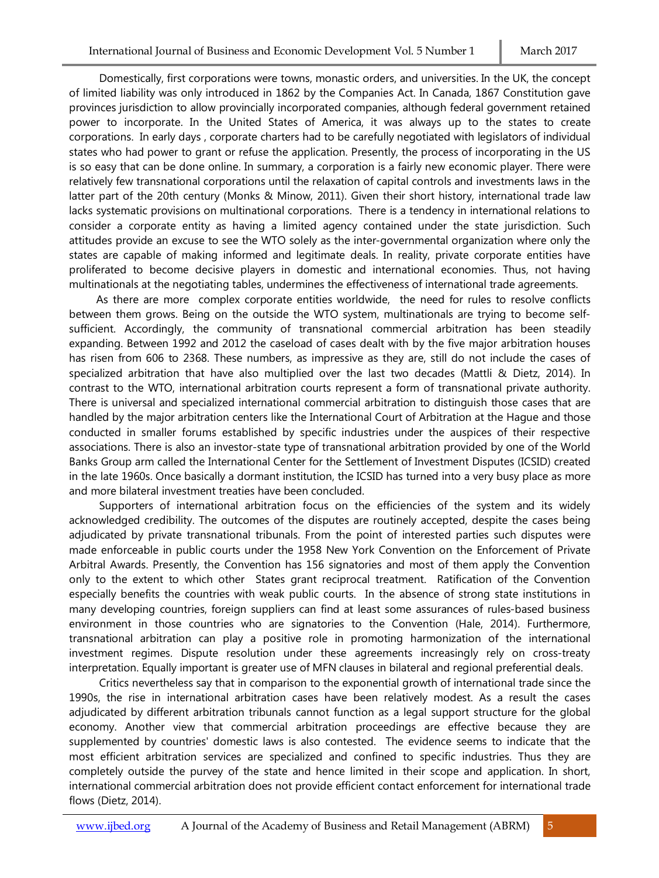Domestically, first corporations were towns, monastic orders, and universities. In the UK, the concept of limited liability was only introduced in 1862 by the Companies Act. In Canada, 1867 Constitution gave provinces jurisdiction to allow provincially incorporated companies, although federal government retained power to incorporate. In the United States of America, it was always up to the states to create corporations. In early days , corporate charters had to be carefully negotiated with legislators of individual states who had power to grant or refuse the application. Presently, the process of incorporating in the US is so easy that can be done online. In summary, a corporation is a fairly new economic player. There were relatively few transnational corporations until the relaxation of capital controls and investments laws in the latter part of the 20th century (Monks & Minow, 2011). Given their short history, international trade law lacks systematic provisions on multinational corporations. There is a tendency in international relations to consider a corporate entity as having a limited agency contained under the state jurisdiction. Such attitudes provide an excuse to see the WTO solely as the inter-governmental organization where only the states are capable of making informed and legitimate deals. In reality, private corporate entities have proliferated to become decisive players in domestic and international economies. Thus, not having multinationals at the negotiating tables, undermines the effectiveness of international trade agreements.

 As there are more complex corporate entities worldwide, the need for rules to resolve conflicts between them grows. Being on the outside the WTO system, multinationals are trying to become selfsufficient. Accordingly, the community of transnational commercial arbitration has been steadily expanding. Between 1992 and 2012 the caseload of cases dealt with by the five major arbitration houses has risen from 606 to 2368. These numbers, as impressive as they are, still do not include the cases of specialized arbitration that have also multiplied over the last two decades (Mattli & Dietz, 2014). In contrast to the WTO, international arbitration courts represent a form of transnational private authority. There is universal and specialized international commercial arbitration to distinguish those cases that are handled by the major arbitration centers like the International Court of Arbitration at the Hague and those conducted in smaller forums established by specific industries under the auspices of their respective associations. There is also an investor-state type of transnational arbitration provided by one of the World Banks Group arm called the International Center for the Settlement of Investment Disputes (ICSID) created in the late 1960s. Once basically a dormant institution, the ICSID has turned into a very busy place as more and more bilateral investment treaties have been concluded.

 Supporters of international arbitration focus on the efficiencies of the system and its widely acknowledged credibility. The outcomes of the disputes are routinely accepted, despite the cases being adjudicated by private transnational tribunals. From the point of interested parties such disputes were made enforceable in public courts under the 1958 New York Convention on the Enforcement of Private Arbitral Awards. Presently, the Convention has 156 signatories and most of them apply the Convention only to the extent to which other States grant reciprocal treatment. Ratification of the Convention especially benefits the countries with weak public courts. In the absence of strong state institutions in many developing countries, foreign suppliers can find at least some assurances of rules-based business environment in those countries who are signatories to the Convention (Hale, 2014). Furthermore, transnational arbitration can play a positive role in promoting harmonization of the international investment regimes. Dispute resolution under these agreements increasingly rely on cross-treaty interpretation. Equally important is greater use of MFN clauses in bilateral and regional preferential deals.

 Critics nevertheless say that in comparison to the exponential growth of international trade since the 1990s, the rise in international arbitration cases have been relatively modest. As a result the cases adjudicated by different arbitration tribunals cannot function as a legal support structure for the global economy. Another view that commercial arbitration proceedings are effective because they are supplemented by countries' domestic laws is also contested. The evidence seems to indicate that the most efficient arbitration services are specialized and confined to specific industries. Thus they are completely outside the purvey of the state and hence limited in their scope and application. In short, international commercial arbitration does not provide efficient contact enforcement for international trade flows (Dietz, 2014).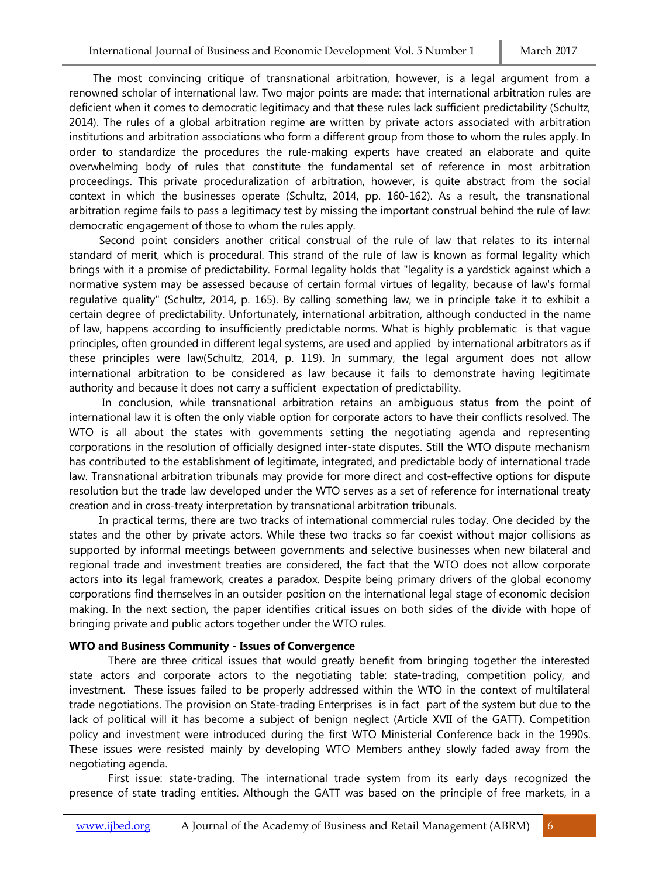The most convincing critique of transnational arbitration, however, is a legal argument from a renowned scholar of international law. Two major points are made: that international arbitration rules are deficient when it comes to democratic legitimacy and that these rules lack sufficient predictability (Schultz, 2014). The rules of a global arbitration regime are written by private actors associated with arbitration institutions and arbitration associations who form a different group from those to whom the rules apply. In order to standardize the procedures the rule-making experts have created an elaborate and quite overwhelming body of rules that constitute the fundamental set of reference in most arbitration proceedings. This private proceduralization of arbitration, however, is quite abstract from the social context in which the businesses operate (Schultz, 2014, pp. 160-162). As a result, the transnational arbitration regime fails to pass a legitimacy test by missing the important construal behind the rule of law: democratic engagement of those to whom the rules apply.

 Second point considers another critical construal of the rule of law that relates to its internal standard of merit, which is procedural. This strand of the rule of law is known as formal legality which brings with it a promise of predictability. Formal legality holds that "legality is a yardstick against which a normative system may be assessed because of certain formal virtues of legality, because of law's formal regulative quality" (Schultz, 2014, p. 165). By calling something law, we in principle take it to exhibit a certain degree of predictability. Unfortunately, international arbitration, although conducted in the name of law, happens according to insufficiently predictable norms. What is highly problematic is that vague principles, often grounded in different legal systems, are used and applied by international arbitrators as if these principles were law(Schultz, 2014, p. 119). In summary, the legal argument does not allow international arbitration to be considered as law because it fails to demonstrate having legitimate authority and because it does not carry a sufficient expectation of predictability.

 In conclusion, while transnational arbitration retains an ambiguous status from the point of international law it is often the only viable option for corporate actors to have their conflicts resolved. The WTO is all about the states with governments setting the negotiating agenda and representing corporations in the resolution of officially designed inter-state disputes. Still the WTO dispute mechanism has contributed to the establishment of legitimate, integrated, and predictable body of international trade law. Transnational arbitration tribunals may provide for more direct and cost-effective options for dispute resolution but the trade law developed under the WTO serves as a set of reference for international treaty creation and in cross-treaty interpretation by transnational arbitration tribunals.

 In practical terms, there are two tracks of international commercial rules today. One decided by the states and the other by private actors. While these two tracks so far coexist without major collisions as supported by informal meetings between governments and selective businesses when new bilateral and regional trade and investment treaties are considered, the fact that the WTO does not allow corporate actors into its legal framework, creates a paradox. Despite being primary drivers of the global economy corporations find themselves in an outsider position on the international legal stage of economic decision making. In the next section, the paper identifies critical issues on both sides of the divide with hope of bringing private and public actors together under the WTO rules.

#### **WTO and Business Community - Issues of Convergence**

 There are three critical issues that would greatly benefit from bringing together the interested state actors and corporate actors to the negotiating table: state-trading, competition policy, and investment. These issues failed to be properly addressed within the WTO in the context of multilateral trade negotiations. The provision on State-trading Enterprises is in fact part of the system but due to the lack of political will it has become a subject of benign neglect (Article XVII of the GATT). Competition policy and investment were introduced during the first WTO Ministerial Conference back in the 1990s. These issues were resisted mainly by developing WTO Members anthey slowly faded away from the negotiating agenda.

 First issue: state-trading. The international trade system from its early days recognized the presence of state trading entities. Although the GATT was based on the principle of free markets, in a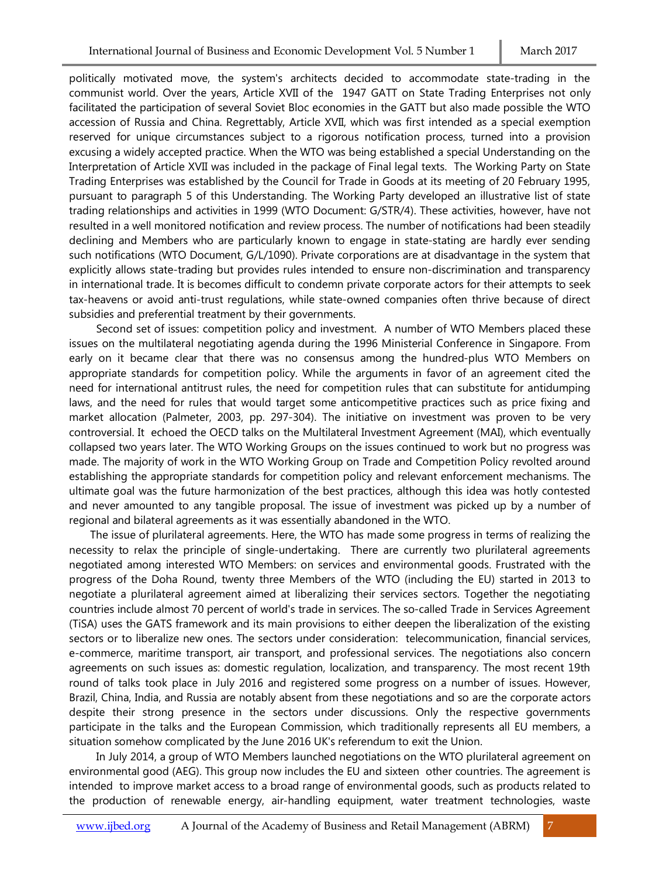politically motivated move, the system's architects decided to accommodate state-trading in the communist world. Over the years, Article XVII of the 1947 GATT on State Trading Enterprises not only facilitated the participation of several Soviet Bloc economies in the GATT but also made possible the WTO accession of Russia and China. Regrettably, Article XVII, which was first intended as a special exemption reserved for unique circumstances subject to a rigorous notification process, turned into a provision excusing a widely accepted practice. When the WTO was being established a special Understanding on the Interpretation of Article XVII was included in the package of Final legal texts. The Working Party on State Trading Enterprises was established by the Council for Trade in Goods at its meeting of 20 February 1995, pursuant to paragraph 5 of this Understanding. The Working Party developed an illustrative list of state trading relationships and activities in 1999 (WTO Document: G/STR/4). These activities, however, have not resulted in a well monitored notification and review process. The number of notifications had been steadily declining and Members who are particularly known to engage in state-stating are hardly ever sending such notifications (WTO Document, G/L/1090). Private corporations are at disadvantage in the system that explicitly allows state-trading but provides rules intended to ensure non-discrimination and transparency in international trade. It is becomes difficult to condemn private corporate actors for their attempts to seek tax-heavens or avoid anti-trust regulations, while state-owned companies often thrive because of direct subsidies and preferential treatment by their governments.

 Second set of issues: competition policy and investment. A number of WTO Members placed these issues on the multilateral negotiating agenda during the 1996 Ministerial Conference in Singapore. From early on it became clear that there was no consensus among the hundred-plus WTO Members on appropriate standards for competition policy. While the arguments in favor of an agreement cited the need for international antitrust rules, the need for competition rules that can substitute for antidumping laws, and the need for rules that would target some anticompetitive practices such as price fixing and market allocation (Palmeter, 2003, pp. 297-304). The initiative on investment was proven to be very controversial. It echoed the OECD talks on the Multilateral Investment Agreement (MAI), which eventually collapsed two years later. The WTO Working Groups on the issues continued to work but no progress was made. The majority of work in the WTO Working Group on Trade and Competition Policy revolted around establishing the appropriate standards for competition policy and relevant enforcement mechanisms. The ultimate goal was the future harmonization of the best practices, although this idea was hotly contested and never amounted to any tangible proposal. The issue of investment was picked up by a number of regional and bilateral agreements as it was essentially abandoned in the WTO.

 The issue of plurilateral agreements. Here, the WTO has made some progress in terms of realizing the necessity to relax the principle of single-undertaking. There are currently two plurilateral agreements negotiated among interested WTO Members: on services and environmental goods. Frustrated with the progress of the Doha Round, twenty three Members of the WTO (including the EU) started in 2013 to negotiate a plurilateral agreement aimed at liberalizing their services sectors. Together the negotiating countries include almost 70 percent of world's trade in services. The so-called Trade in Services Agreement (TiSA) uses the GATS framework and its main provisions to either deepen the liberalization of the existing sectors or to liberalize new ones. The sectors under consideration: telecommunication, financial services, e-commerce, maritime transport, air transport, and professional services. The negotiations also concern agreements on such issues as: domestic regulation, localization, and transparency. The most recent 19th round of talks took place in July 2016 and registered some progress on a number of issues. However, Brazil, China, India, and Russia are notably absent from these negotiations and so are the corporate actors despite their strong presence in the sectors under discussions. Only the respective governments participate in the talks and the European Commission, which traditionally represents all EU members, a situation somehow complicated by the June 2016 UK's referendum to exit the Union.

 In July 2014, a group of WTO Members launched negotiations on the WTO plurilateral agreement on environmental good (AEG). This group now includes the EU and sixteen other countries. The agreement is intended to improve market access to a broad range of environmental goods, such as products related to the production of renewable energy, air-handling equipment, water treatment technologies, waste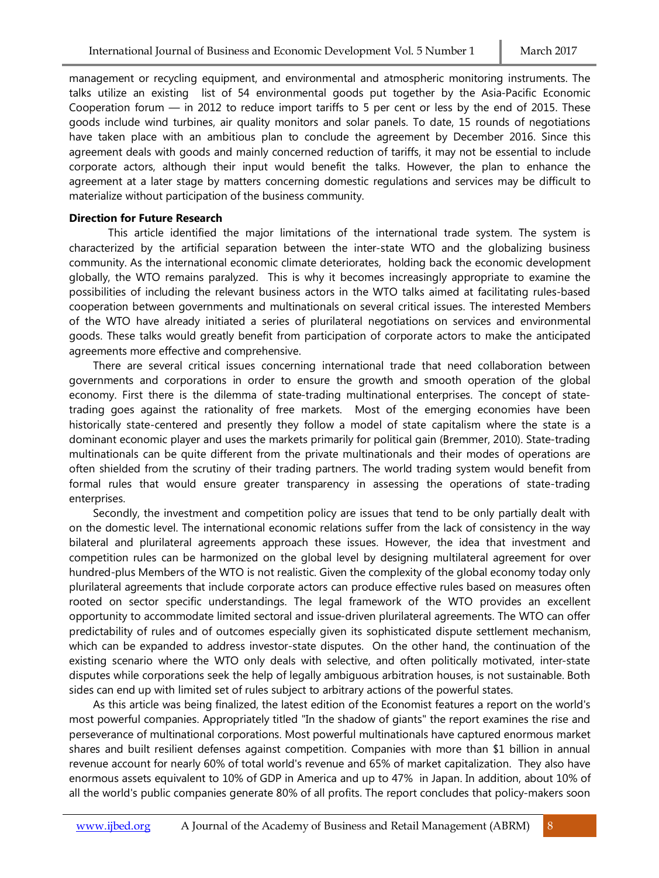management or recycling equipment, and environmental and atmospheric monitoring instruments. The talks utilize an existing list of 54 environmental goods put together by the Asia-Pacific Economic Cooperation forum — in 2012 to reduce import tariffs to 5 per cent or less by the end of 2015. These goods include wind turbines, air quality monitors and solar panels. To date, 15 rounds of negotiations have taken place with an ambitious plan to conclude the agreement by December 2016. Since this agreement deals with goods and mainly concerned reduction of tariffs, it may not be essential to include corporate actors, although their input would benefit the talks. However, the plan to enhance the agreement at a later stage by matters concerning domestic regulations and services may be difficult to materialize without participation of the business community.

#### **Direction for Future Research**

 This article identified the major limitations of the international trade system. The system is characterized by the artificial separation between the inter-state WTO and the globalizing business community. As the international economic climate deteriorates, holding back the economic development globally, the WTO remains paralyzed. This is why it becomes increasingly appropriate to examine the possibilities of including the relevant business actors in the WTO talks aimed at facilitating rules-based cooperation between governments and multinationals on several critical issues. The interested Members of the WTO have already initiated a series of plurilateral negotiations on services and environmental goods. These talks would greatly benefit from participation of corporate actors to make the anticipated agreements more effective and comprehensive.

 There are several critical issues concerning international trade that need collaboration between governments and corporations in order to ensure the growth and smooth operation of the global economy. First there is the dilemma of state-trading multinational enterprises. The concept of statetrading goes against the rationality of free markets. Most of the emerging economies have been historically state-centered and presently they follow a model of state capitalism where the state is a dominant economic player and uses the markets primarily for political gain (Bremmer, 2010). State-trading multinationals can be quite different from the private multinationals and their modes of operations are often shielded from the scrutiny of their trading partners. The world trading system would benefit from formal rules that would ensure greater transparency in assessing the operations of state-trading enterprises.

 Secondly, the investment and competition policy are issues that tend to be only partially dealt with on the domestic level. The international economic relations suffer from the lack of consistency in the way bilateral and plurilateral agreements approach these issues. However, the idea that investment and competition rules can be harmonized on the global level by designing multilateral agreement for over hundred-plus Members of the WTO is not realistic. Given the complexity of the global economy today only plurilateral agreements that include corporate actors can produce effective rules based on measures often rooted on sector specific understandings. The legal framework of the WTO provides an excellent opportunity to accommodate limited sectoral and issue-driven plurilateral agreements. The WTO can offer predictability of rules and of outcomes especially given its sophisticated dispute settlement mechanism, which can be expanded to address investor-state disputes. On the other hand, the continuation of the existing scenario where the WTO only deals with selective, and often politically motivated, inter-state disputes while corporations seek the help of legally ambiguous arbitration houses, is not sustainable. Both sides can end up with limited set of rules subject to arbitrary actions of the powerful states.

 As this article was being finalized, the latest edition of the Economist features a report on the world's most powerful companies. Appropriately titled "In the shadow of giants" the report examines the rise and perseverance of multinational corporations. Most powerful multinationals have captured enormous market shares and built resilient defenses against competition. Companies with more than \$1 billion in annual revenue account for nearly 60% of total world's revenue and 65% of market capitalization. They also have enormous assets equivalent to 10% of GDP in America and up to 47% in Japan. In addition, about 10% of all the world's public companies generate 80% of all profits. The report concludes that policy-makers soon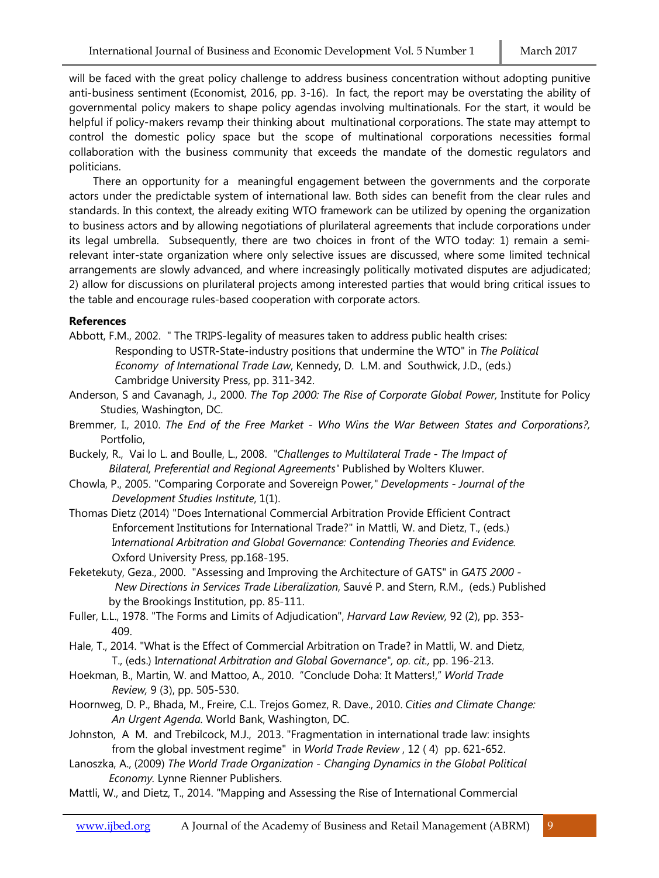will be faced with the great policy challenge to address business concentration without adopting punitive anti-business sentiment (Economist, 2016, pp. 3-16). In fact, the report may be overstating the ability of governmental policy makers to shape policy agendas involving multinationals. For the start, it would be helpful if policy-makers revamp their thinking about multinational corporations. The state may attempt to control the domestic policy space but the scope of multinational corporations necessities formal collaboration with the business community that exceeds the mandate of the domestic regulators and politicians.

 There an opportunity for a meaningful engagement between the governments and the corporate actors under the predictable system of international law. Both sides can benefit from the clear rules and standards. In this context, the already exiting WTO framework can be utilized by opening the organization to business actors and by allowing negotiations of plurilateral agreements that include corporations under its legal umbrella. Subsequently, there are two choices in front of the WTO today: 1) remain a semirelevant inter-state organization where only selective issues are discussed, where some limited technical arrangements are slowly advanced, and where increasingly politically motivated disputes are adjudicated; 2) allow for discussions on plurilateral projects among interested parties that would bring critical issues to the table and encourage rules-based cooperation with corporate actors.

### **References**

Abbott, F.M., 2002. " The TRIPS-legality of measures taken to address public health crises: Responding to USTR-State-industry positions that undermine the WTO" in *The Political Economy of International Trade Law*, Kennedy, D. L.M. and Southwick, J.D., (eds.) Cambridge University Press, pp. 311-342.

- Anderson, S and Cavanagh, J., 2000. *The Top 2000: The Rise of Corporate Global Power,* Institute for Policy Studies, Washington, DC.
- Bremmer, I., 2010. *The End of the Free Market - Who Wins the War Between States and Corporations?,*  Portfolio,
- Buckely, R., Vai lo L. and Boulle, L., 2008. *"Challenges to Multilateral Trade - The Impact of Bilateral, Preferential and Regional Agreements"* Published by Wolters Kluwer.
- Chowla, P., 2005. "Comparing Corporate and Sovereign Power*," Developments - Journal of the Development Studies Institute*, 1(1).
- Thomas Dietz (2014) "Does International Commercial Arbitration Provide Efficient Contract Enforcement Institutions for International Trade?" in Mattli, W. and Dietz, T., (eds.) I*nternational Arbitration and Global Governance: Contending Theories and Evidence.* Oxford University Press, pp.168-195.
- Feketekuty, Geza., 2000. "Assessing and Improving the Architecture of GATS" in *GATS 2000 - New Directions in Services Trade Liberalization*, Sauvé P. and Stern, R.M., (eds.) Published by the Brookings Institution, pp. 85-111.
- Fuller, L.L., 1978. "The Forms and Limits of Adjudication", *Harvard Law Review,* 92 (2), pp. 353- 409.
- Hale, T., 2014. "What is the Effect of Commercial Arbitration on Trade? in Mattli, W. and Dietz, T., (eds.) I*nternational Arbitration and Global Governance", op. cit.,* pp. 196-213.
- Hoekman, B., Martin, W. and Mattoo, A., 2010. "Conclude Doha: It Matters!," *World Trade Review,* 9 (3), pp. 505-530.
- Hoornweg, D. P., Bhada, M., Freire, C.L. Trejos Gomez, R. Dave., 2010. *Cities and Climate Change: An Urgent Agenda.* World Bank, Washington, DC.
- Johnston, A M. and Trebilcock, M.J., 2013. "Fragmentation in international trade law: insights from the global investment regime" in *World Trade Review* , 12 ( 4) pp. 621-652.
- Lanoszka, A., (2009) *The World Trade Organization - Changing Dynamics in the Global Political Economy.* Lynne Rienner Publishers.
- Mattli, W., and Dietz, T., 2014. "Mapping and Assessing the Rise of International Commercial